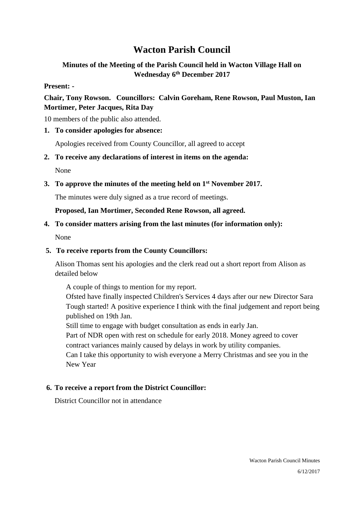# **Wacton Parish Council**

### **Minutes of the Meeting of the Parish Council held in Wacton Village Hall on Wednesday 6th December 2017**

#### **Present: -**

### **Chair, Tony Rowson. Councillors: Calvin Goreham, Rene Rowson, Paul Muston, Ian Mortimer, Peter Jacques, Rita Day**

10 members of the public also attended.

### **1. To consider apologies for absence:**

Apologies received from County Councillor, all agreed to accept

**2. To receive any declarations of interest in items on the agenda:** 

None

**3. To approve the minutes of the meeting held on 1st November 2017.** 

The minutes were duly signed as a true record of meetings.

**Proposed, Ian Mortimer, Seconded Rene Rowson, all agreed.**

### **4. To consider matters arising from the last minutes (for information only):**

None

### **5. To receive reports from the County Councillors:**

Alison Thomas sent his apologies and the clerk read out a short report from Alison as detailed below

A couple of things to mention for my report.

Ofsted have finally inspected Children's Services 4 days after our new Director Sara Tough started! A positive experience I think with the final judgement and report being published on 19th Jan.

Still time to engage with budget consultation as ends in early Jan.

Part of NDR open with rest on schedule for early 2018. Money agreed to cover contract variances mainly caused by delays in work by utility companies.

Can I take this opportunity to wish everyone a Merry Christmas and see you in the New Year

### **6. To receive a report from the District Councillor:**

District Councillor not in attendance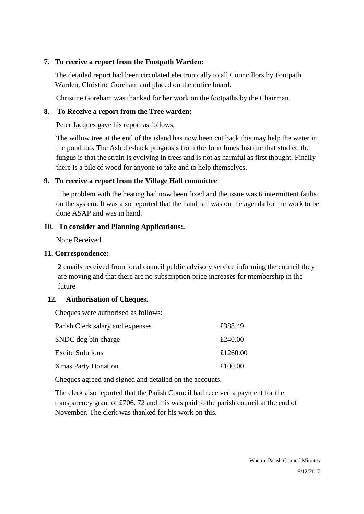### **7. To receive a report from the Footpath Warden:**

The detailed report had been circulated electronically to all Councillors by Footpath Warden, Christine Goreham and placed on the notice board.

Christine Goreham was thanked for her work on the footpaths by the Chairman.

### **8. To Receive a report from the Tree warden:**

Peter Jacques gave his report as follows,

The willow tree at the end of the island has now been cut back this may help the water in the pond too. The Ash die-back prognosis from the John Innes Institue that studied the fungus is that the strain is evolving in trees and is not as harmful as first thought. Finally there is a pile of wood for anyone to take and to help themselves.

### **9. To receive a report from the Village Hall committee**

The problem with the heating had now been fixed and the issue was 6 intermittent faults on the system. It was also reported that the hand rail was on the agenda for the work to be done ASAP and was in hand.

### **10. To consider and Planning Applications:.**

None Received

#### **11. Correspondence:**

2 emails received from local council public advisory service informing the council they are moving and that there are no subscription price increases for membership in the future

### **12. Authorisation of Cheques.**

Cheques were authorised as follows:

| Parish Clerk salary and expenses | £388.49  |
|----------------------------------|----------|
| SNDC dog bin charge              | £240.00  |
| <b>Excite Solutions</b>          | £1260.00 |
| <b>Xmas Party Donation</b>       | £100.00  |

Cheques agreed and signed and detailed on the accounts.

The clerk also reported that the Parish Council had received a payment for the transparency grant of £706. 72 and this was paid to the parish council at the end of November. The clerk was thanked for his work on this.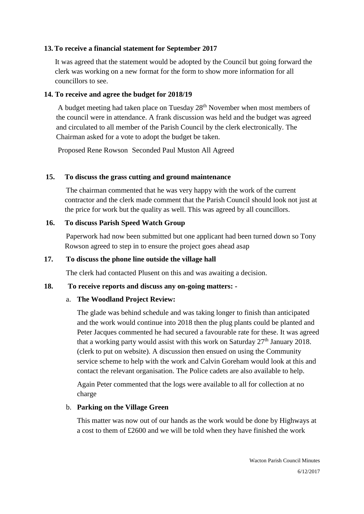#### **13. To receive a financial statement for September 2017**

It was agreed that the statement would be adopted by the Council but going forward the clerk was working on a new format for the form to show more information for all councillors to see.

#### **14. To receive and agree the budget for 2018/19**

A budget meeting had taken place on Tuesday 28<sup>th</sup> November when most members of the council were in attendance. A frank discussion was held and the budget was agreed and circulated to all member of the Parish Council by the clerk electronically. The Chairman asked for a vote to adopt the budget be taken.

Proposed Rene Rowson Seconded Paul Muston All Agreed

#### **15. To discuss the grass cutting and ground maintenance**

The chairman commented that he was very happy with the work of the current contractor and the clerk made comment that the Parish Council should look not just at the price for work but the quality as well. This was agreed by all councillors.

#### **16. To discuss Parish Speed Watch Group**

Paperwork had now been submitted but one applicant had been turned down so Tony Rowson agreed to step in to ensure the project goes ahead asap

#### **17. To discuss the phone line outside the village hall**

The clerk had contacted Plusent on this and was awaiting a decision.

#### **18. To receive reports and discuss any on-going matters: -**

#### a. **The Woodland Project Review:**

The glade was behind schedule and was taking longer to finish than anticipated and the work would continue into 2018 then the plug plants could be planted and Peter Jacques commented he had secured a favourable rate for these. It was agreed that a working party would assist with this work on Saturday 27<sup>th</sup> January 2018. (clerk to put on website). A discussion then ensued on using the Community service scheme to help with the work and Calvin Goreham would look at this and contact the relevant organisation. The Police cadets are also available to help.

Again Peter commented that the logs were available to all for collection at no charge

#### b. **Parking on the Village Green**

This matter was now out of our hands as the work would be done by Highways at a cost to them of £2600 and we will be told when they have finished the work